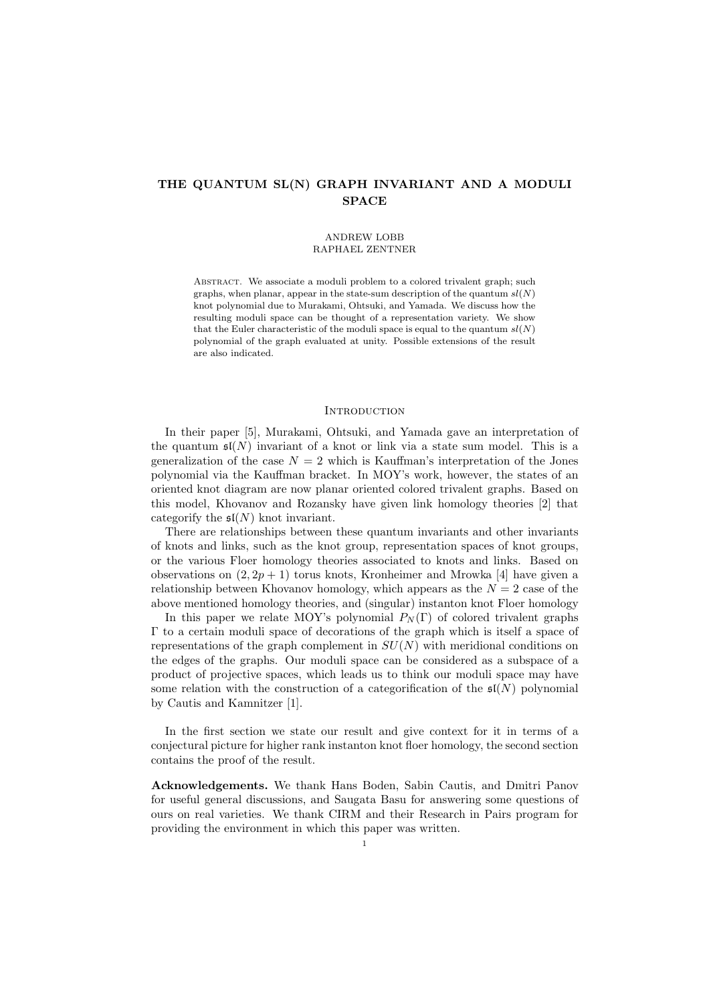# THE QUANTUM SL(N) GRAPH INVARIANT AND A MODULI SPACE

#### ANDREW LOBB RAPHAEL ZENTNER

ABSTRACT. We associate a moduli problem to a colored trivalent graph; such graphs, when planar, appear in the state-sum description of the quantum  $sl(N)$ knot polynomial due to Murakami, Ohtsuki, and Yamada. We discuss how the resulting moduli space can be thought of a representation variety. We show that the Euler characteristic of the moduli space is equal to the quantum  $sl(N)$ polynomial of the graph evaluated at unity. Possible extensions of the result are also indicated.

### **INTRODUCTION**

In their paper [5], Murakami, Ohtsuki, and Yamada gave an interpretation of the quantum  $\mathfrak{sl}(N)$  invariant of a knot or link via a state sum model. This is a generalization of the case  $N = 2$  which is Kauffman's interpretation of the Jones polynomial via the Kauffman bracket. In MOY's work, however, the states of an oriented knot diagram are now planar oriented colored trivalent graphs. Based on this model, Khovanov and Rozansky have given link homology theories [2] that categorify the  $\mathfrak{sl}(N)$  knot invariant.

There are relationships between these quantum invariants and other invariants of knots and links, such as the knot group, representation spaces of knot groups, or the various Floer homology theories associated to knots and links. Based on observations on  $(2, 2p + 1)$  torus knots, Kronheimer and Mrowka [4] have given a relationship between Khovanov homology, which appears as the  $N = 2$  case of the above mentioned homology theories, and (singular) instanton knot Floer homology

In this paper we relate MOY's polynomial  $P_N(\Gamma)$  of colored trivalent graphs Γ to a certain moduli space of decorations of the graph which is itself a space of representations of the graph complement in  $SU(N)$  with meridional conditions on the edges of the graphs. Our moduli space can be considered as a subspace of a product of projective spaces, which leads us to think our moduli space may have some relation with the construction of a categorification of the  $\mathfrak{sl}(N)$  polynomial by Cautis and Kamnitzer [1].

In the first section we state our result and give context for it in terms of a conjectural picture for higher rank instanton knot floer homology, the second section contains the proof of the result.

Acknowledgements. We thank Hans Boden, Sabin Cautis, and Dmitri Panov for useful general discussions, and Saugata Basu for answering some questions of ours on real varieties. We thank CIRM and their Research in Pairs program for providing the environment in which this paper was written.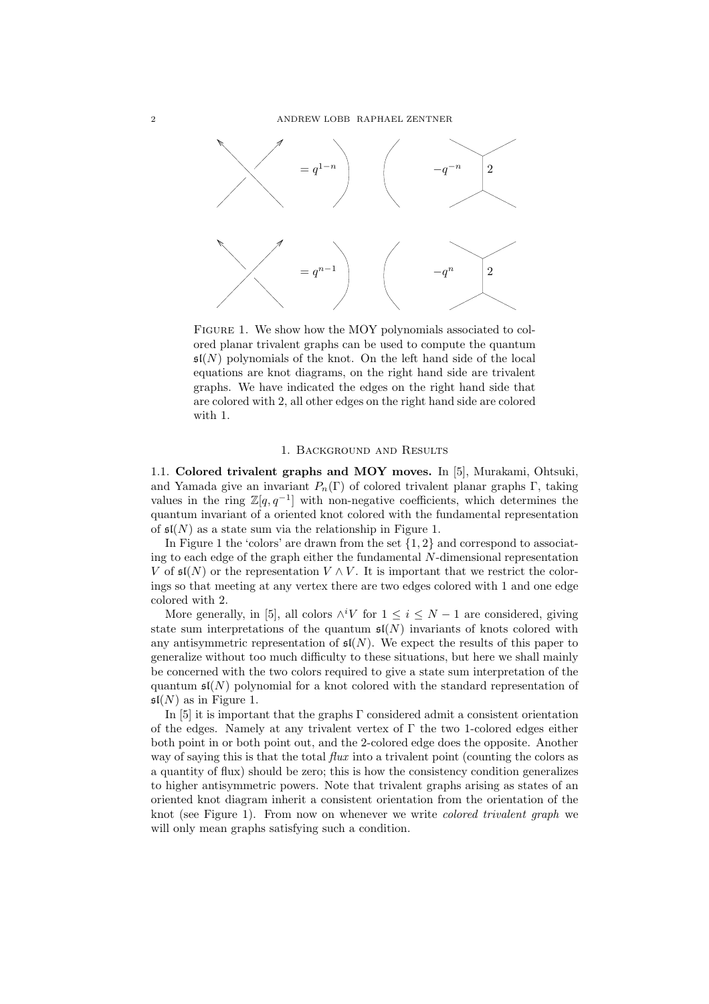

FIGURE 1. We show how the MOY polynomials associated to colored planar trivalent graphs can be used to compute the quantum  $\mathfrak{sl}(N)$  polynomials of the knot. On the left hand side of the local equations are knot diagrams, on the right hand side are trivalent graphs. We have indicated the edges on the right hand side that are colored with 2, all other edges on the right hand side are colored with 1.

#### 1. Background and Results

1.1. Colored trivalent graphs and MOY moves. In [5], Murakami, Ohtsuki, and Yamada give an invariant  $P_n(\Gamma)$  of colored trivalent planar graphs  $\Gamma$ , taking values in the ring  $\mathbb{Z}[q, q^{-1}]$  with non-negative coefficients, which determines the quantum invariant of a oriented knot colored with the fundamental representation of  $\mathfrak{sl}(N)$  as a state sum via the relationship in Figure 1.

In Figure 1 the 'colors' are drawn from the set  $\{1, 2\}$  and correspond to associating to each edge of the graph either the fundamental N-dimensional representation V of  $\mathfrak{sl}(N)$  or the representation  $V \wedge V$ . It is important that we restrict the colorings so that meeting at any vertex there are two edges colored with 1 and one edge colored with 2.

More generally, in [5], all colors  $\wedge^i V$  for  $1 \leq i \leq N-1$  are considered, giving state sum interpretations of the quantum  $\mathfrak{sl}(N)$  invariants of knots colored with any antisymmetric representation of  $\mathfrak{sl}(N)$ . We expect the results of this paper to generalize without too much difficulty to these situations, but here we shall mainly be concerned with the two colors required to give a state sum interpretation of the quantum  $\mathfrak{sl}(N)$  polynomial for a knot colored with the standard representation of  $\mathfrak{sl}(N)$  as in Figure 1.

In [5] it is important that the graphs  $\Gamma$  considered admit a consistent orientation of the edges. Namely at any trivalent vertex of Γ the two 1-colored edges either both point in or both point out, and the 2-colored edge does the opposite. Another way of saying this is that the total  $flux$  into a trivalent point (counting the colors as a quantity of flux) should be zero; this is how the consistency condition generalizes to higher antisymmetric powers. Note that trivalent graphs arising as states of an oriented knot diagram inherit a consistent orientation from the orientation of the knot (see Figure 1). From now on whenever we write colored trivalent graph we will only mean graphs satisfying such a condition.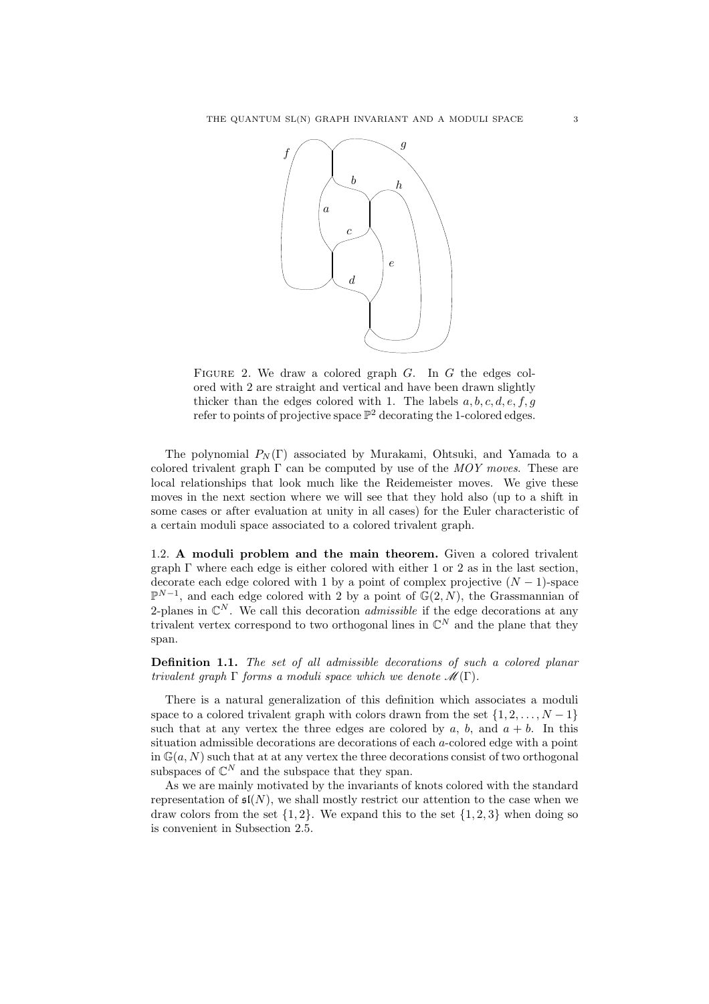

FIGURE 2. We draw a colored graph  $G$ . In  $G$  the edges colored with 2 are straight and vertical and have been drawn slightly thicker than the edges colored with 1. The labels  $a, b, c, d, e, f, g$ refer to points of projective space  $\mathbb{P}^2$  decorating the 1-colored edges.

The polynomial  $P_N(\Gamma)$  associated by Murakami, Ohtsuki, and Yamada to a colored trivalent graph  $\Gamma$  can be computed by use of the MOY moves. These are local relationships that look much like the Reidemeister moves. We give these moves in the next section where we will see that they hold also (up to a shift in some cases or after evaluation at unity in all cases) for the Euler characteristic of a certain moduli space associated to a colored trivalent graph.

1.2. A moduli problem and the main theorem. Given a colored trivalent graph  $\Gamma$  where each edge is either colored with either 1 or 2 as in the last section, decorate each edge colored with 1 by a point of complex projective  $(N - 1)$ -space  $\mathbb{P}^{N-1}$ , and each edge colored with 2 by a point of  $\mathbb{G}(2, N)$ , the Grassmannian of 2-planes in  $\mathbb{C}^N$ . We call this decoration *admissible* if the edge decorations at any trivalent vertex correspond to two orthogonal lines in  $\mathbb{C}^N$  and the plane that they span.

Definition 1.1. The set of all admissible decorations of such a colored planar trivalent graph  $\Gamma$  forms a moduli space which we denote  $\mathcal{M}(\Gamma)$ .

There is a natural generalization of this definition which associates a moduli space to a colored trivalent graph with colors drawn from the set  $\{1, 2, \ldots, N-1\}$ such that at any vertex the three edges are colored by a, b, and  $a + b$ . In this situation admissible decorations are decorations of each a-colored edge with a point in  $\mathbb{G}(a, N)$  such that at at any vertex the three decorations consist of two orthogonal subspaces of  $\mathbb{C}^N$  and the subspace that they span.

As we are mainly motivated by the invariants of knots colored with the standard representation of  $\mathfrak{sl}(N)$ , we shall mostly restrict our attention to the case when we draw colors from the set  $\{1, 2\}$ . We expand this to the set  $\{1, 2, 3\}$  when doing so is convenient in Subsection 2.5.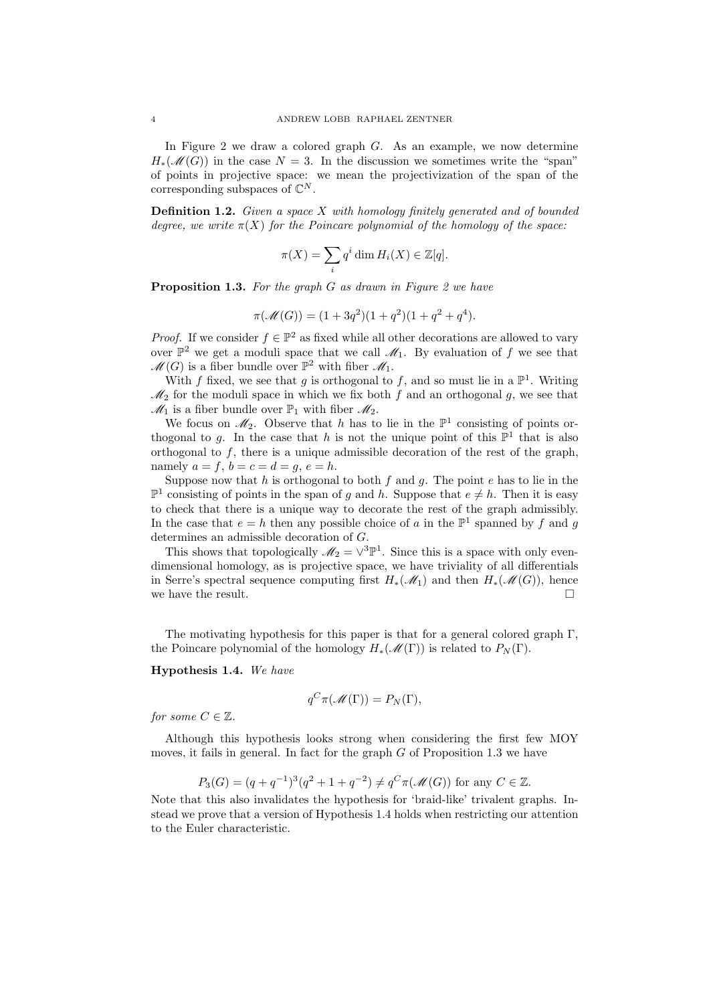In Figure 2 we draw a colored graph G. As an example, we now determine  $H_*(\mathscr{M}(G))$  in the case  $N = 3$ . In the discussion we sometimes write the "span" of points in projective space: we mean the projectivization of the span of the corresponding subspaces of  $\mathbb{C}^N$ .

**Definition 1.2.** Given a space  $X$  with homology finitely generated and of bounded degree, we write  $\pi(X)$  for the Poincare polynomial of the homology of the space:

$$
\pi(X) = \sum_{i} q^{i} \dim H_{i}(X) \in \mathbb{Z}[q].
$$

**Proposition 1.3.** For the graph  $G$  as drawn in Figure 2 we have

$$
\pi(\mathcal{M}(G)) = (1 + 3q^{2})(1 + q^{2})(1 + q^{2} + q^{4}).
$$

*Proof.* If we consider  $f \in \mathbb{P}^2$  as fixed while all other decorations are allowed to vary over  $\mathbb{P}^2$  we get a moduli space that we call  $\mathscr{M}_1$ . By evaluation of f we see that  $\mathscr{M}(G)$  is a fiber bundle over  $\mathbb{P}^2$  with fiber  $\mathscr{M}_1$ .

With f fixed, we see that g is orthogonal to f, and so must lie in a  $\mathbb{P}^1$ . Writing  $\mathcal{M}_2$  for the moduli space in which we fix both f and an orthogonal g, we see that  $\mathcal{M}_1$  is a fiber bundle over  $\mathbb{P}_1$  with fiber  $\mathcal{M}_2$ .

We focus on  $\mathcal{M}_2$ . Observe that h has to lie in the  $\mathbb{P}^1$  consisting of points orthogonal to g. In the case that h is not the unique point of this  $\mathbb{P}^1$  that is also orthogonal to  $f$ , there is a unique admissible decoration of the rest of the graph, namely  $a = f$ ,  $b = c = d = g$ ,  $e = h$ .

Suppose now that  $h$  is orthogonal to both  $f$  and  $g$ . The point  $e$  has to lie in the  $\mathbb{P}^1$  consisting of points in the span of g and h. Suppose that  $e \neq h$ . Then it is easy to check that there is a unique way to decorate the rest of the graph admissibly. In the case that  $e = h$  then any possible choice of a in the  $\mathbb{P}^1$  spanned by f and g determines an admissible decoration of G.

This shows that topologically  $\mathcal{M}_2 = \vee^3 \mathbb{P}^1$ . Since this is a space with only evendimensional homology, as is projective space, we have triviality of all differentials in Serre's spectral sequence computing first  $H_*(\mathcal{M}_1)$  and then  $H_*(\mathcal{M}(G))$ , hence we have the result.  $\Box$ 

The motivating hypothesis for this paper is that for a general colored graph  $\Gamma$ , the Poincare polynomial of the homology  $H_*(\mathcal{M}(\Gamma))$  is related to  $P_N(\Gamma)$ .

Hypothesis 1.4. We have

$$
q^C \pi(\mathcal{M}(\Gamma)) = P_N(\Gamma),
$$

for some  $C \in \mathbb{Z}$ .

Although this hypothesis looks strong when considering the first few MOY moves, it fails in general. In fact for the graph  $G$  of Proposition 1.3 we have

$$
P_3(G) = (q + q^{-1})^3 (q^2 + 1 + q^{-2}) \neq q^C \pi(\mathcal{M}(G))
$$
 for any  $C \in \mathbb{Z}$ .

Note that this also invalidates the hypothesis for 'braid-like' trivalent graphs. Instead we prove that a version of Hypothesis 1.4 holds when restricting our attention to the Euler characteristic.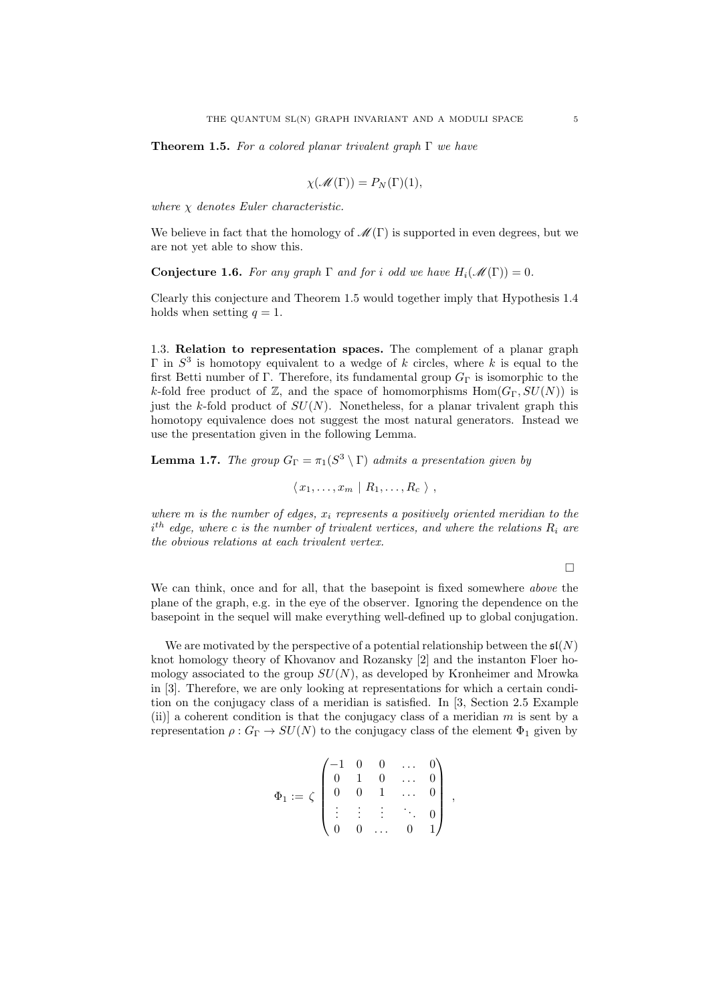**Theorem 1.5.** For a colored planar trivalent graph  $\Gamma$  we have

$$
\chi(\mathscr{M}(\Gamma)) = P_N(\Gamma)(1),
$$

where  $\chi$  denotes Euler characteristic.

We believe in fact that the homology of  $\mathcal{M}(\Gamma)$  is supported in even degrees, but we are not yet able to show this.

**Conjecture 1.6.** For any graph  $\Gamma$  and for i odd we have  $H_i(\mathcal{M}(\Gamma)) = 0$ .

Clearly this conjecture and Theorem 1.5 would together imply that Hypothesis 1.4 holds when setting  $q = 1$ .

1.3. Relation to representation spaces. The complement of a planar graph  $\Gamma$  in  $S^3$  is homotopy equivalent to a wedge of k circles, where k is equal to the first Betti number of Γ. Therefore, its fundamental group  $G_{\Gamma}$  is isomorphic to the k-fold free product of Z, and the space of homomorphisms  $Hom(G_{\Gamma}, SU(N))$  is just the k-fold product of  $SU(N)$ . Nonetheless, for a planar trivalent graph this homotopy equivalence does not suggest the most natural generators. Instead we use the presentation given in the following Lemma.

**Lemma 1.7.** The group  $G_{\Gamma} = \pi_1(S^3 \setminus \Gamma)$  admits a presentation given by

 $\langle x_1, \ldots, x_m \mid R_1, \ldots, R_c \rangle$ ,

where  $m$  is the number of edges,  $x_i$  represents a positively oriented meridian to the  $i^{th}$  edge, where c is the number of trivalent vertices, and where the relations  $R_i$  are the obvious relations at each trivalent vertex.

 $\Box$ 

We can think, once and for all, that the basepoint is fixed somewhere above the plane of the graph, e.g. in the eye of the observer. Ignoring the dependence on the basepoint in the sequel will make everything well-defined up to global conjugation.

We are motivated by the perspective of a potential relationship between the  $\mathfrak{sl}(N)$ knot homology theory of Khovanov and Rozansky [2] and the instanton Floer homology associated to the group  $SU(N)$ , as developed by Kronheimer and Mrowka in [3]. Therefore, we are only looking at representations for which a certain condition on the conjugacy class of a meridian is satisfied. In [3, Section 2.5 Example (ii)] a coherent condition is that the conjugacy class of a meridian  $m$  is sent by a representation  $\rho: G_{\Gamma} \to SU(N)$  to the conjugacy class of the element  $\Phi_1$  given by

$$
\Phi_1:=\zeta\begin{pmatrix}-1 & 0 & 0 & \dots & 0 \\ 0 & 1 & 0 & \dots & 0 \\ 0 & 0 & 1 & \dots & 0 \\ \vdots & \vdots & \vdots & \ddots & 0 \\ 0 & 0 & \dots & 0 & 1\end{pmatrix}\;,
$$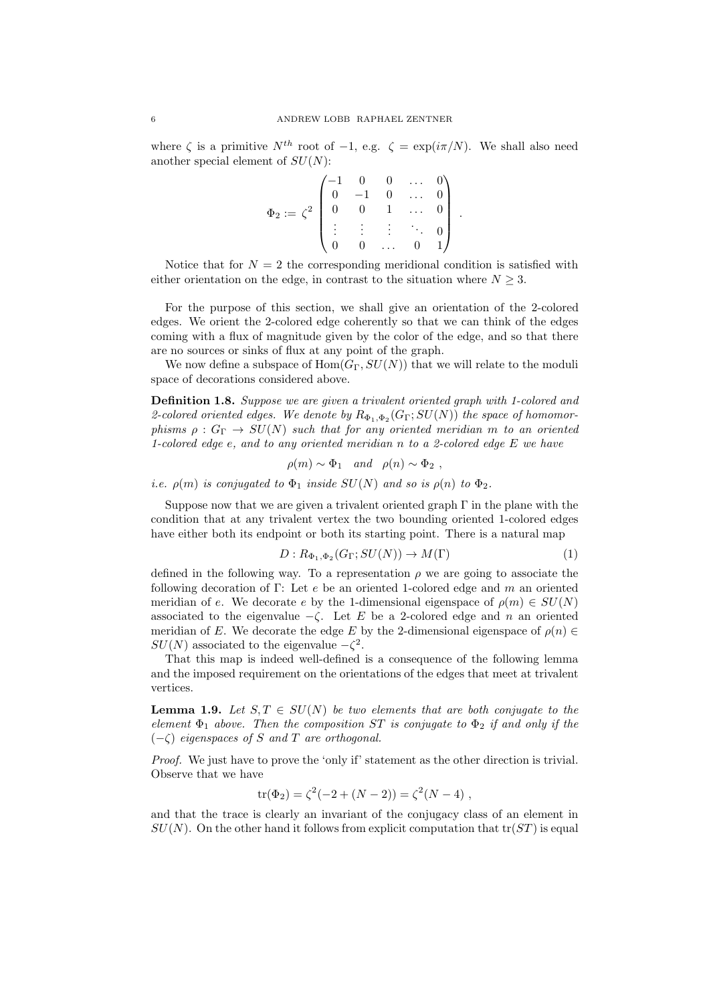where  $\zeta$  is a primitive  $N^{th}$  root of -1, e.g.  $\zeta = \exp(i\pi/N)$ . We shall also need another special element of  $SU(N)$ :

> $\Phi_2:=\,\zeta^2$  $\sqrt{ }$  $\overline{\phantom{a}}$  $-1$  0 0 ... 0  $0 \t -1 \t 0 \t \ldots \t 0$  $0 \t 0 \t 1 \t ... \t 0$ . . . . . .  $\vdots$  : 0  $0 \quad 0 \quad \dots \quad 0 \quad 1$  $\overline{ }$  $\overline{\phantom{a}}$

.

Notice that for  $N = 2$  the corresponding meridional condition is satisfied with either orientation on the edge, in contrast to the situation where  $N \geq 3$ .

For the purpose of this section, we shall give an orientation of the 2-colored edges. We orient the 2-colored edge coherently so that we can think of the edges coming with a flux of magnitude given by the color of the edge, and so that there are no sources or sinks of flux at any point of the graph.

We now define a subspace of  $Hom(G_{\Gamma}, SU(N))$  that we will relate to the moduli space of decorations considered above.

Definition 1.8. Suppose we are given a trivalent oriented graph with 1-colored and 2-colored oriented edges. We denote by  $R_{\Phi_1, \Phi_2}(G_{\Gamma}; SU(N))$  the space of homomorphisms  $\rho : G_{\Gamma} \to SU(N)$  such that for any oriented meridian m to an oriented 1-colored edge  $e$ , and to any oriented meridian n to a 2-colored edge  $E$  we have

 $\rho(m) \sim \Phi_1$  and  $\rho(n) \sim \Phi_2$ ,

i.e.  $\rho(m)$  is conjugated to  $\Phi_1$  inside  $SU(N)$  and so is  $\rho(n)$  to  $\Phi_2$ .

Suppose now that we are given a trivalent oriented graph  $\Gamma$  in the plane with the condition that at any trivalent vertex the two bounding oriented 1-colored edges have either both its endpoint or both its starting point. There is a natural map

$$
D: R_{\Phi_1, \Phi_2}(G_{\Gamma}; SU(N)) \to M(\Gamma)
$$
\n<sup>(1)</sup>

defined in the following way. To a representation  $\rho$  we are going to associate the following decoration of Γ: Let  $e$  be an oriented 1-colored edge and m an oriented meridian of e. We decorate e by the 1-dimensional eigenspace of  $\rho(m) \in SU(N)$ associated to the eigenvalue  $-\zeta$ . Let E be a 2-colored edge and n an oriented meridian of E. We decorate the edge E by the 2-dimensional eigenspace of  $\rho(n) \in$  $SU(N)$  associated to the eigenvalue  $-\zeta^2$ .

That this map is indeed well-defined is a consequence of the following lemma and the imposed requirement on the orientations of the edges that meet at trivalent vertices.

**Lemma 1.9.** Let  $S, T \in SU(N)$  be two elements that are both conjugate to the element  $\Phi_1$  above. Then the composition ST is conjugate to  $\Phi_2$  if and only if the  $(-\zeta)$  eigenspaces of S and T are orthogonal.

Proof. We just have to prove the 'only if' statement as the other direction is trivial. Observe that we have

$$
tr(\Phi_2) = \zeta^2(-2 + (N - 2)) = \zeta^2(N - 4) ,
$$

and that the trace is clearly an invariant of the conjugacy class of an element in  $SU(N)$ . On the other hand it follows from explicit computation that  $tr(ST)$  is equal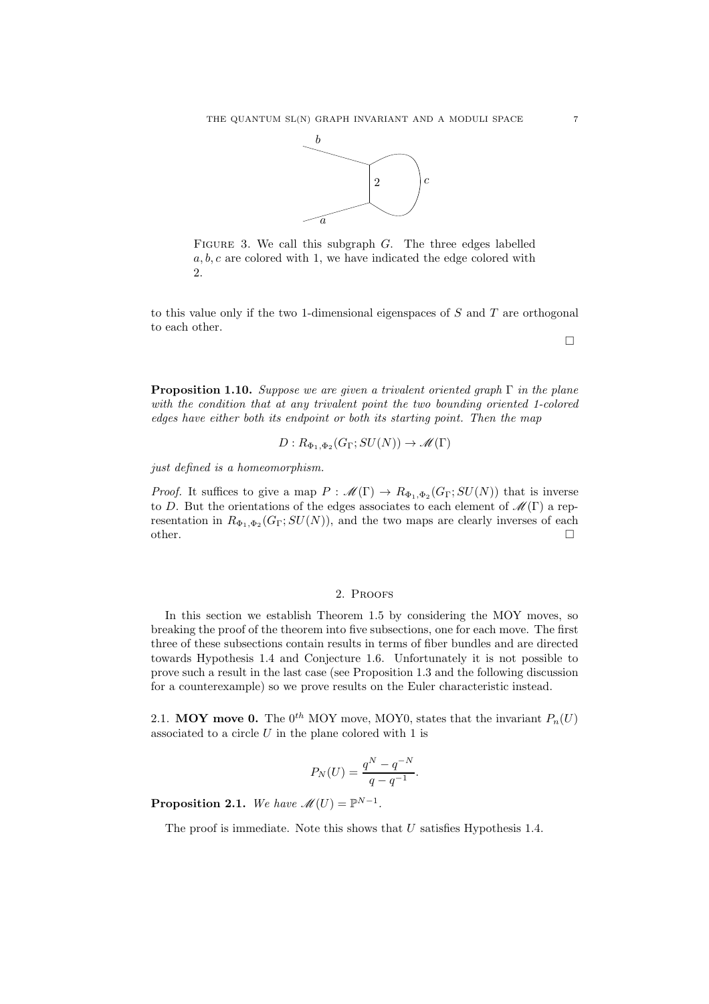

FIGURE 3. We call this subgraph  $G$ . The three edges labelled a, b, c are colored with 1, we have indicated the edge colored with 2.

to this value only if the two 1-dimensional eigenspaces of  $S$  and  $T$  are orthogonal to each other.

 $\Box$ 

**Proposition 1.10.** Suppose we are given a trivalent oriented graph  $\Gamma$  in the plane with the condition that at any trivalent point the two bounding oriented 1-colored edges have either both its endpoint or both its starting point. Then the map

$$
D: R_{\Phi_1, \Phi_2}(G_{\Gamma}; SU(N)) \to \mathscr{M}(\Gamma)
$$

just defined is a homeomorphism.

*Proof.* It suffices to give a map  $P : \mathscr{M}(\Gamma) \to R_{\Phi_1, \Phi_2}(G_\Gamma; SU(N))$  that is inverse to D. But the orientations of the edges associates to each element of  $\mathcal{M}(\Gamma)$  a representation in  $R_{\Phi_1, \Phi_2}(G_\Gamma; SU(N))$ , and the two maps are clearly inverses of each other.  $\Box$ 

# 2. Proofs

In this section we establish Theorem 1.5 by considering the MOY moves, so breaking the proof of the theorem into five subsections, one for each move. The first three of these subsections contain results in terms of fiber bundles and are directed towards Hypothesis 1.4 and Conjecture 1.6. Unfortunately it is not possible to prove such a result in the last case (see Proposition 1.3 and the following discussion for a counterexample) so we prove results on the Euler characteristic instead.

2.1. MOY move 0. The  $0^{th}$  MOY move, MOY0, states that the invariant  $P_n(U)$ associated to a circle  $U$  in the plane colored with 1 is

$$
P_N(U) = \frac{q^N - q^{-N}}{q - q^{-1}}.
$$

**Proposition 2.1.** We have  $\mathcal{M}(U) = \mathbb{P}^{N-1}$ .

The proof is immediate. Note this shows that  $U$  satisfies Hypothesis 1.4.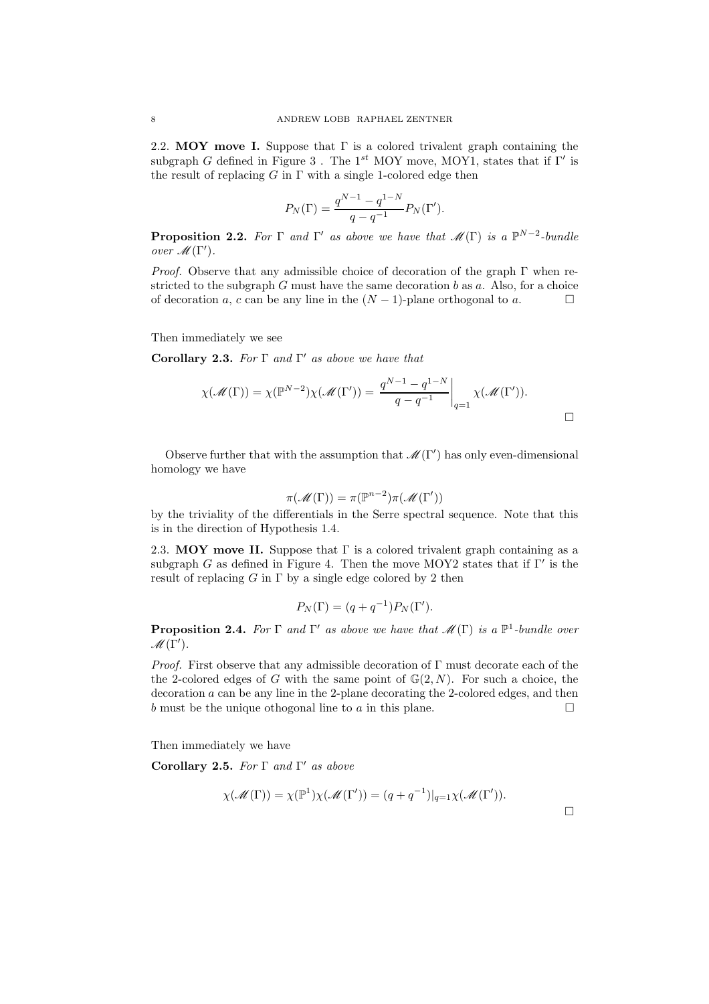2.2. MOY move I. Suppose that  $\Gamma$  is a colored trivalent graph containing the subgraph G defined in Figure 3. The 1<sup>st</sup> MOY move, MOY1, states that if  $\Gamma'$  is the result of replacing  $G$  in  $\Gamma$  with a single 1-colored edge then

$$
P_N(\Gamma) = \frac{q^{N-1} - q^{1-N}}{q - q^{-1}} P_N(\Gamma').
$$

**Proposition 2.2.** For  $\Gamma$  and  $\Gamma'$  as above we have that  $\mathscr{M}(\Gamma)$  is a  $\mathbb{P}^{N-2}$ -bundle over  $\mathscr{M}(\Gamma').$ 

*Proof.* Observe that any admissible choice of decoration of the graph  $\Gamma$  when restricted to the subgraph  $G$  must have the same decoration  $b$  as  $a$ . Also, for a choice of decoration a, c can be any line in the  $(N-1)$ -plane orthogonal to a.

Then immediately we see

Corollary 2.3. For  $\Gamma$  and  $\Gamma'$  as above we have that

$$
\chi(\mathscr{M}(\Gamma)) = \chi(\mathbb{P}^{N-2})\chi(\mathscr{M}(\Gamma')) = \frac{q^{N-1} - q^{1-N}}{q - q^{-1}}\bigg|_{q=1} \chi(\mathscr{M}(\Gamma')).
$$

Observe further that with the assumption that  $\mathcal{M}(\Gamma')$  has only even-dimensional homology we have

$$
\pi(\mathcal{M}(\Gamma)) = \pi(\mathbb{P}^{n-2})\pi(\mathcal{M}(\Gamma'))
$$

by the triviality of the differentials in the Serre spectral sequence. Note that this is in the direction of Hypothesis 1.4.

2.3. MOY move II. Suppose that  $\Gamma$  is a colored trivalent graph containing as a subgraph G as defined in Figure 4. Then the move MOY2 states that if  $\Gamma'$  is the result of replacing G in  $\Gamma$  by a single edge colored by 2 then

$$
P_N(\Gamma) = (q + q^{-1}) P_N(\Gamma').
$$

**Proposition 2.4.** For  $\Gamma$  and  $\Gamma'$  as above we have that  $\mathscr{M}(\Gamma)$  is a  $\mathbb{P}^1$ -bundle over  $\mathscr{M}(\tilde{\Gamma}').$ 

Proof. First observe that any admissible decoration of Γ must decorate each of the the 2-colored edges of G with the same point of  $\mathbb{G}(2, N)$ . For such a choice, the decoration a can be any line in the 2-plane decorating the 2-colored edges, and then b must be the unique othogonal line to a in this plane.

Then immediately we have

Corollary 2.5. For  $\Gamma$  and  $\Gamma'$  as above

$$
\chi(\mathcal{M}(\Gamma)) = \chi(\mathbb{P}^1)\chi(\mathcal{M}(\Gamma')) = (q+q^{-1})|_{q=1}\chi(\mathcal{M}(\Gamma')).
$$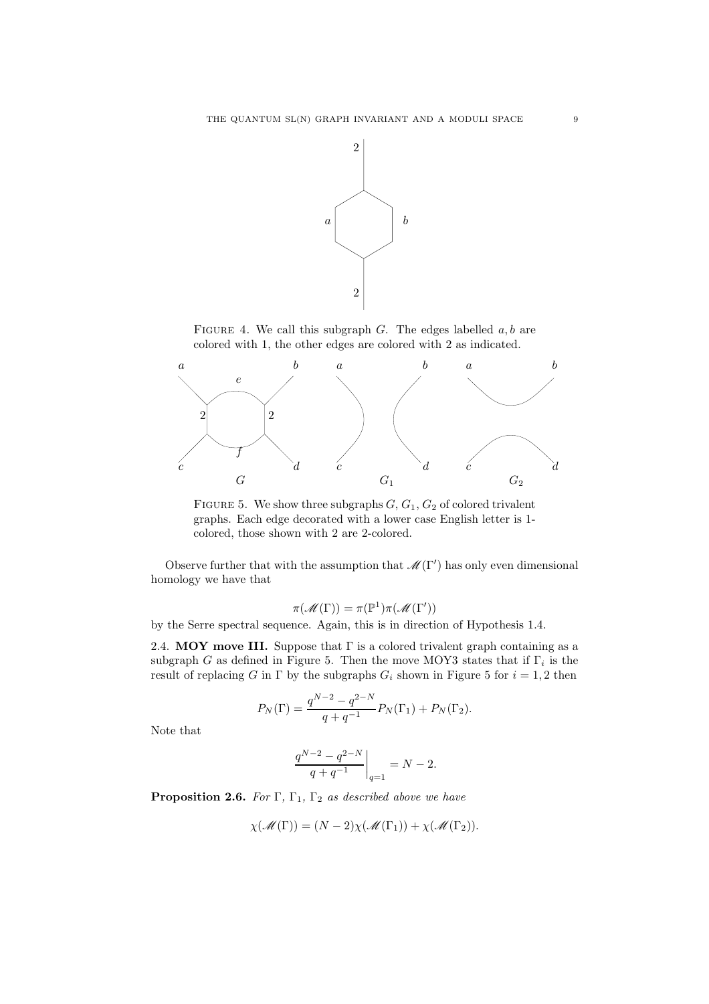

FIGURE 4. We call this subgraph  $G$ . The edges labelled  $a, b$  are colored with 1, the other edges are colored with 2 as indicated.



FIGURE 5. We show three subgraphs  $G, G_1, G_2$  of colored trivalent graphs. Each edge decorated with a lower case English letter is 1 colored, those shown with 2 are 2-colored.

Observe further that with the assumption that  $\mathcal{M}(\Gamma')$  has only even dimensional homology we have that

$$
\pi(\mathscr{M}(\Gamma)) = \pi(\mathbb{P}^1)\pi(\mathscr{M}(\Gamma'))
$$

by the Serre spectral sequence. Again, this is in direction of Hypothesis 1.4.

2.4. MOY move III. Suppose that  $\Gamma$  is a colored trivalent graph containing as a subgraph G as defined in Figure 5. Then the move MOY3 states that if  $\Gamma_i$  is the result of replacing G in  $\Gamma$  by the subgraphs  $G_i$  shown in Figure 5 for  $i = 1, 2$  then

$$
P_N(\Gamma) = \frac{q^{N-2} - q^{2-N}}{q + q^{-1}} P_N(\Gamma_1) + P_N(\Gamma_2).
$$

Note that

$$
\left.\frac{q^{N-2}-q^{2-N}}{q+q^{-1}}\right|_{q=1}=N-2.
$$

**Proposition 2.6.** For  $\Gamma$ ,  $\Gamma$ <sub>1</sub>,  $\Gamma$ <sub>2</sub> as described above we have

$$
\chi(\mathscr{M}(\Gamma)) = (N-2)\chi(\mathscr{M}(\Gamma_1)) + \chi(\mathscr{M}(\Gamma_2)).
$$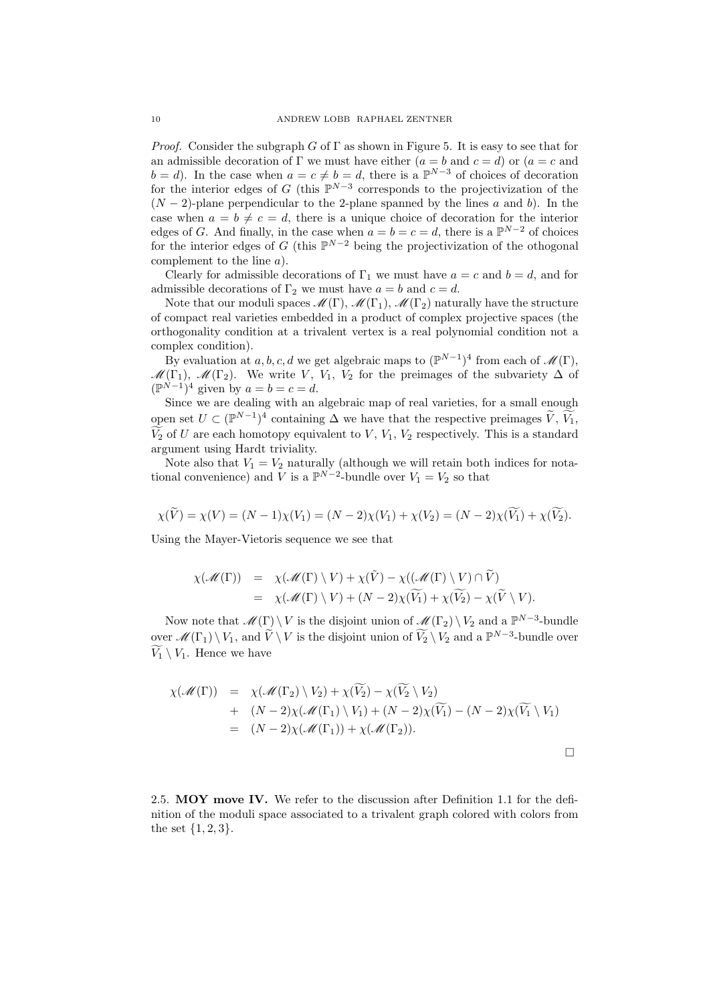*Proof.* Consider the subgraph G of  $\Gamma$  as shown in Figure 5. It is easy to see that for an admissible decoration of Γ we must have either  $(a = b \text{ and } c = d)$  or  $(a = c \text{ and } c \neq d)$  $b = d$ ). In the case when  $a = c \neq b = d$ , there is a  $\mathbb{P}^{N-3}$  of choices of decoration for the interior edges of G (this  $\mathbb{P}^{N-3}$  corresponds to the projectivization of the  $(N-2)$ -plane perpendicular to the 2-plane spanned by the lines a and b). In the case when  $a = b \neq c = d$ , there is a unique choice of decoration for the interior edges of G. And finally, in the case when  $a = b = c = d$ , there is a  $\mathbb{P}^{N-2}$  of choices for the interior edges of G (this  $\mathbb{P}^{N-2}$  being the projectivization of the othogonal complement to the line a).

Clearly for admissible decorations of  $\Gamma_1$  we must have  $a = c$  and  $b = d$ , and for admissible decorations of  $\Gamma_2$  we must have  $a = b$  and  $c = d$ .

Note that our moduli spaces  $\mathscr{M}(\Gamma), \mathscr{M}(\Gamma_1), \mathscr{M}(\Gamma_2)$  naturally have the structure of compact real varieties embedded in a product of complex projective spaces (the orthogonality condition at a trivalent vertex is a real polynomial condition not a complex condition).

By evaluation at a, b, c, d we get algebraic maps to  $(\mathbb{P}^{N-1})^4$  from each of  $\mathscr{M}(\Gamma)$ ,  $\mathcal{M}(\Gamma_1), \mathcal{M}(\Gamma_2)$ . We write V, V<sub>1</sub>, V<sub>2</sub> for the preimages of the subvariety  $\Delta$  of  $(\mathbb{P}^{\hat{N}-1})^4$  given by  $a=b=c=d$ .

Since we are dealing with an algebraic map of real varieties, for a small enough open set  $U \subset (\mathbb{P}^{N-1})^4$  containing  $\Delta$  we have that the respective preimages  $\widetilde{V}$ ,  $\widetilde{V}_1$ ,  $\widetilde{V}_2$  of U are each homotopy equivalent to V,  $V_1$ ,  $V_2$  respectively. This is a standard argument using Hardt triviality.

Note also that  $V_1 = V_2$  naturally (although we will retain both indices for notational convenience) and  $\overline{V}$  is a  $\mathbb{P}^{N-2}$ -bundle over  $V_1 = V_2$  so that

$$
\chi(\widetilde{V}) = \chi(V) = (N-1)\chi(V_1) = (N-2)\chi(V_1) + \chi(V_2) = (N-2)\chi(\widetilde{V_1}) + \chi(\widetilde{V_2}).
$$

Using the Mayer-Vietoris sequence we see that

$$
\chi(\mathscr{M}(\Gamma)) = \chi(\mathscr{M}(\Gamma) \setminus V) + \chi(\tilde{V}) - \chi((\mathscr{M}(\Gamma) \setminus V) \cap \tilde{V})
$$
  
= 
$$
\chi(\mathscr{M}(\Gamma) \setminus V) + (N-2)\chi(\widetilde{V_1}) + \chi(\widetilde{V_2}) - \chi(\widetilde{V} \setminus V).
$$

Now note that  $\mathscr{M}(\Gamma) \setminus V$  is the disjoint union of  $\mathscr{M}(\Gamma_2) \setminus V_2$  and a  $\mathbb{P}^{N-3}$ -bundle over  $\mathscr{M}(\Gamma_1) \setminus V_1$ , and  $\widetilde{V} \setminus V$  is the disjoint union of  $\widetilde{V}_2 \setminus V_2$  and a  $\mathbb{P}^{N-3}$ -bundle over  $V_1 \setminus V_1$ . Hence we have

$$
\chi(\mathcal{M}(\Gamma)) = \chi(\mathcal{M}(\Gamma_2) \setminus V_2) + \chi(\widetilde{V_2}) - \chi(\widetilde{V_2} \setminus V_2) \n+ (N-2)\chi(\mathcal{M}(\Gamma_1) \setminus V_1) + (N-2)\chi(\widetilde{V_1}) - (N-2)\chi(\widetilde{V_1} \setminus V_1) \n= (N-2)\chi(\mathcal{M}(\Gamma_1)) + \chi(\mathcal{M}(\Gamma_2)).
$$

2.5. MOY move IV. We refer to the discussion after Definition 1.1 for the definition of the moduli space associated to a trivalent graph colored with colors from the set  $\{1, 2, 3\}.$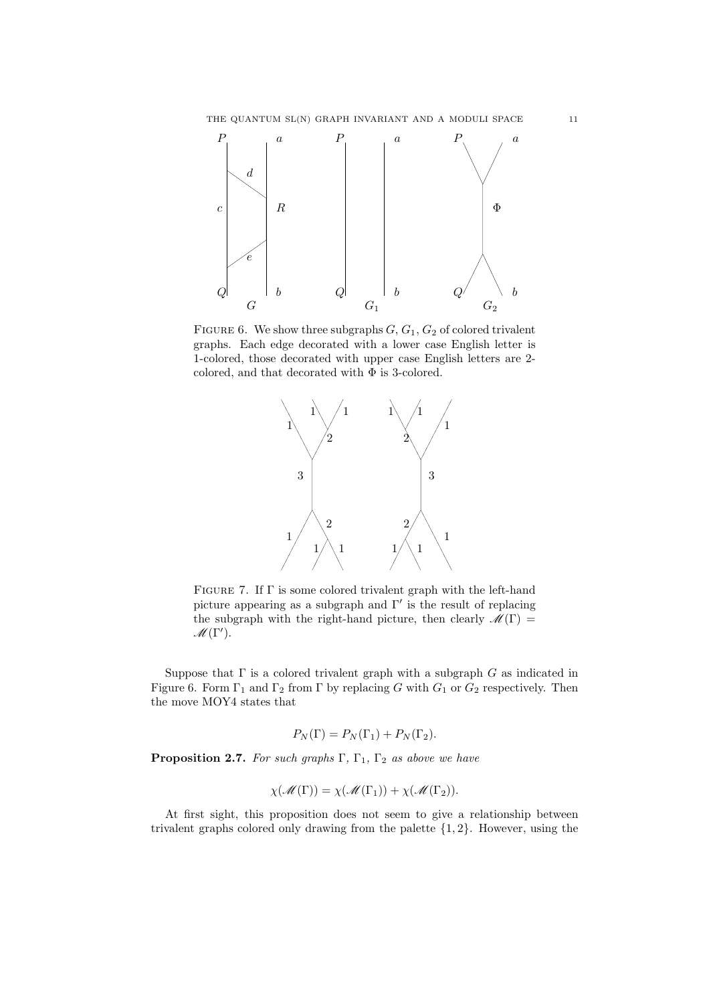

FIGURE 6. We show three subgraphs  $G, G_1, G_2$  of colored trivalent graphs. Each edge decorated with a lower case English letter is 1-colored, those decorated with upper case English letters are 2 colored, and that decorated with  $\Phi$  is 3-colored.



FIGURE 7. If  $\Gamma$  is some colored trivalent graph with the left-hand picture appearing as a subgraph and Γ′ is the result of replacing the subgraph with the right-hand picture, then clearly  $\mathscr{M}(\Gamma)$  =  $\mathscr{M}(\Gamma').$ 

Suppose that  $\Gamma$  is a colored trivalent graph with a subgraph  $G$  as indicated in Figure 6. Form  $\Gamma_1$  and  $\Gamma_2$  from  $\Gamma$  by replacing G with  $G_1$  or  $G_2$  respectively. Then the move MOY4 states that

$$
P_N(\Gamma) = P_N(\Gamma_1) + P_N(\Gamma_2).
$$

**Proposition 2.7.** For such graphs  $\Gamma$ ,  $\Gamma$ <sub>1</sub>,  $\Gamma$ <sub>2</sub> as above we have

$$
\chi(\mathscr{M}(\Gamma)) = \chi(\mathscr{M}(\Gamma_1)) + \chi(\mathscr{M}(\Gamma_2)).
$$

At first sight, this proposition does not seem to give a relationship between trivalent graphs colored only drawing from the palette  $\{1, 2\}$ . However, using the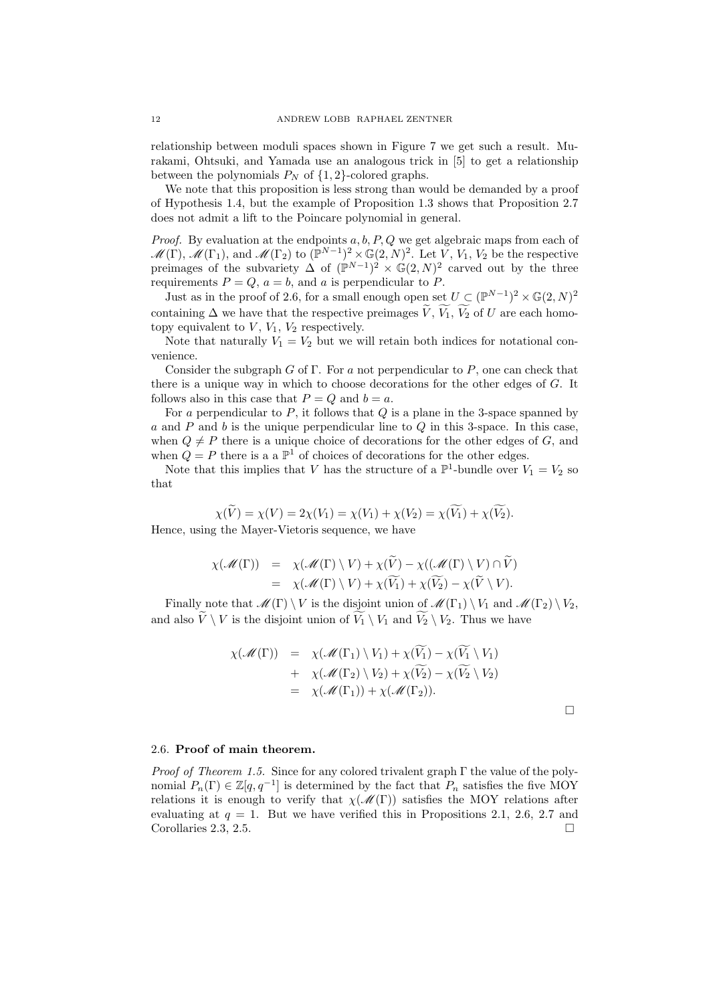relationship between moduli spaces shown in Figure 7 we get such a result. Murakami, Ohtsuki, and Yamada use an analogous trick in [5] to get a relationship between the polynomials  $P_N$  of  $\{1,2\}$ -colored graphs.

We note that this proposition is less strong than would be demanded by a proof of Hypothesis 1.4, but the example of Proposition 1.3 shows that Proposition 2.7 does not admit a lift to the Poincare polynomial in general.

*Proof.* By evaluation at the endpoints  $a, b, P, Q$  we get algebraic maps from each of  $\mathscr{M}(\Gamma)$ ,  $\mathscr{M}(\Gamma_1)$ , and  $\mathscr{M}(\Gamma_2)$  to  $(\mathbb{P}^{N-1})^2 \times \mathbb{G}(2,N)^2$ . Let  $V, V_1, V_2$  be the respective preimages of the subvariety  $\Delta$  of  $(\mathbb{P}^{N-1})^2 \times \mathbb{G}(2,N)^2$  carved out by the three requirements  $P = Q$ ,  $a = b$ , and a is perpendicular to P.

Just as in the proof of 2.6, for a small enough open set  $U \subset (\mathbb{P}^{N-1})^2 \times \mathbb{G}(2, N)^2$ containing  $\Delta$  we have that the respective preimages  $\widetilde{V}, \widetilde{V}_1, \widetilde{V}_2$  of U are each homotopy equivalent to  $V, V_1, V_2$  respectively.

Note that naturally  $V_1 = V_2$  but we will retain both indices for notational convenience.

Consider the subgraph  $G$  of  $\Gamma$ . For a not perpendicular to  $P$ , one can check that there is a unique way in which to choose decorations for the other edges of G. It follows also in this case that  $P = Q$  and  $b = a$ .

For a perpendicular to  $P$ , it follows that  $Q$  is a plane in the 3-space spanned by a and P and b is the unique perpendicular line to  $Q$  in this 3-space. In this case, when  $Q \neq P$  there is a unique choice of decorations for the other edges of G, and when  $Q = P$  there is a a  $\mathbb{P}^1$  of choices of decorations for the other edges.

Note that this implies that V has the structure of a  $\mathbb{P}^1$ -bundle over  $V_1 = V_2$  so that

$$
\chi(\widetilde{V}) = \chi(V) = 2\chi(V_1) = \chi(V_1) + \chi(V_2) = \chi(\widetilde{V_1}) + \chi(\widetilde{V_2}).
$$
  
Hence, using the Mayer-Vietoris sequence, we have

$$
\chi(\mathscr{M}(\Gamma)) = \chi(\mathscr{M}(\Gamma) \setminus V) + \chi(\widetilde{V}) - \chi((\mathscr{M}(\Gamma) \setminus V) \cap \widetilde{V})
$$
  
= 
$$
\chi(\mathscr{M}(\Gamma) \setminus V) + \chi(\widetilde{V_1}) + \chi(\widetilde{V_2}) - \chi(\widetilde{V} \setminus V).
$$

Finally note that  $\mathscr{M}(\Gamma) \setminus V$  is the disjoint union of  $\mathscr{M}(\Gamma_1) \setminus V_1$  and  $\mathscr{M}(\Gamma_2) \setminus V_2$ , and also  $\widetilde{V} \setminus V$  is the disjoint union of  $\widetilde{V}_1 \setminus V_1$  and  $\widetilde{V}_2 \setminus V_2$ . Thus we have

$$
\chi(\mathscr{M}(\Gamma)) = \chi(\mathscr{M}(\Gamma_1) \setminus V_1) + \chi(\widetilde{V_1}) - \chi(\widetilde{V_1} \setminus V_1) \n+ \chi(\mathscr{M}(\Gamma_2) \setminus V_2) + \chi(\widetilde{V_2}) - \chi(\widetilde{V_2} \setminus V_2) \n= \chi(\mathscr{M}(\Gamma_1)) + \chi(\mathscr{M}(\Gamma_2)).
$$

 $\Box$ 

## 2.6. Proof of main theorem.

*Proof of Theorem 1.5.* Since for any colored trivalent graph  $\Gamma$  the value of the polynomial  $P_n(\Gamma) \in \mathbb{Z}[q, q^{-1}]$  is determined by the fact that  $P_n$  satisfies the five MOY relations it is enough to verify that  $\chi(\mathscr{M}(\Gamma))$  satisfies the MOY relations after evaluating at  $q = 1$ . But we have verified this in Propositions 2.1, 2.6, 2.7 and Corollaries 2.3, 2.5.